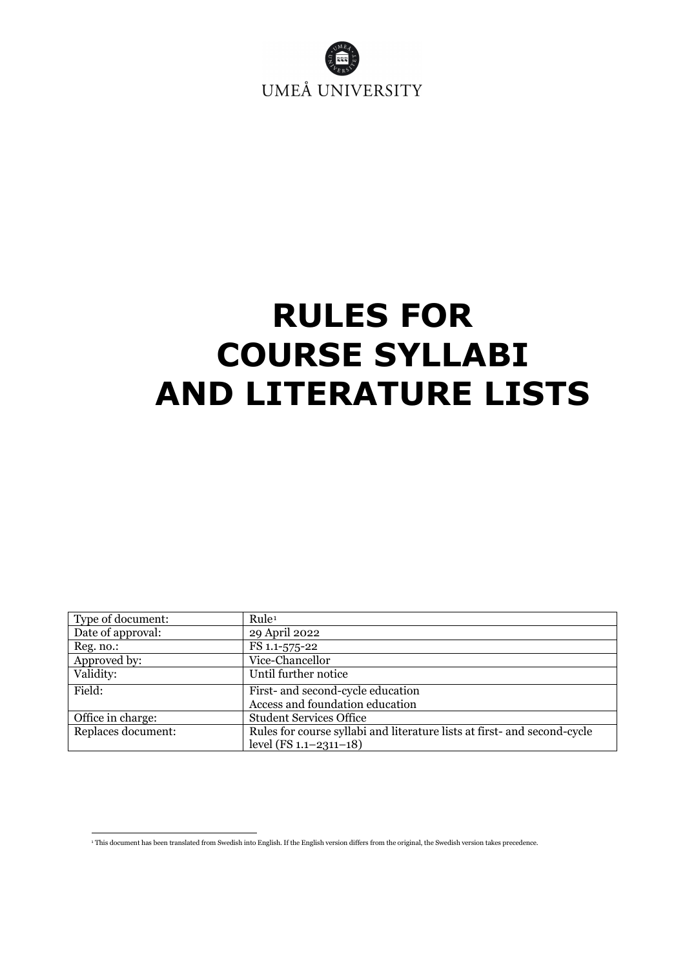

# <span id="page-0-1"></span>**RULES FOR COURSE SYLLABI AND LITERATURE LISTS**

| Type of document:  | Rule <sup>1</sup>                                                        |
|--------------------|--------------------------------------------------------------------------|
| Date of approval:  | 29 April 2022                                                            |
| Reg. no.:          | FS 1.1-575-22                                                            |
| Approved by:       | Vice-Chancellor                                                          |
| Validity:          | Until further notice                                                     |
| Field:             | First- and second-cycle education                                        |
|                    | Access and foundation education                                          |
| Office in charge:  | <b>Student Services Office</b>                                           |
| Replaces document: | Rules for course syllabi and literature lists at first- and second-cycle |
|                    | level $(FS 1.1 - 2311 - 18)$                                             |

<span id="page-0-0"></span><sup>1</sup> This document has been translated from Swedish into English. If the English version differs from the original, the Swedish version takes precedence.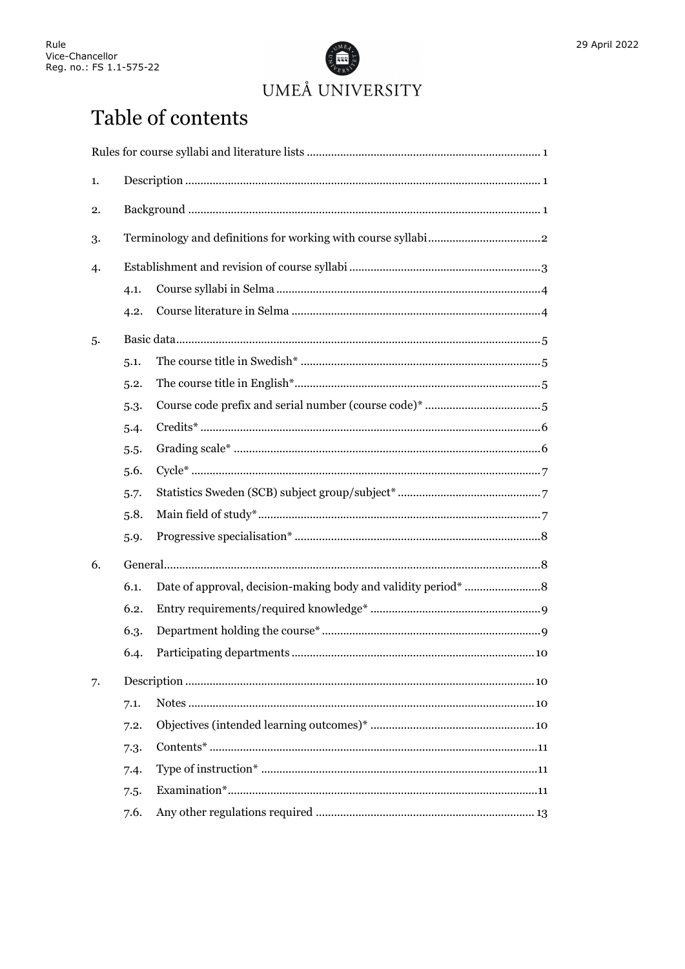

## Table of contents

| 1. |      |  |
|----|------|--|
| 2. |      |  |
| 3. |      |  |
| 4. |      |  |
|    | 4.1. |  |
|    | 4.2. |  |
| 5. |      |  |
|    | 5.1. |  |
|    | 5.2. |  |
|    | 5.3. |  |
|    | 5.4. |  |
|    | 5.5. |  |
|    | 5.6. |  |
|    | 5.7. |  |
|    | 5.8. |  |
|    | 5.9. |  |
| 6. |      |  |
|    | 6.1. |  |
|    | 6.2. |  |
|    | 6.3. |  |
|    | 6.4. |  |
| 7. |      |  |
|    | 7.1. |  |
|    | 7.2. |  |
|    | 7.3. |  |
|    | 7.4. |  |
|    | 7.5. |  |
|    | 7.6. |  |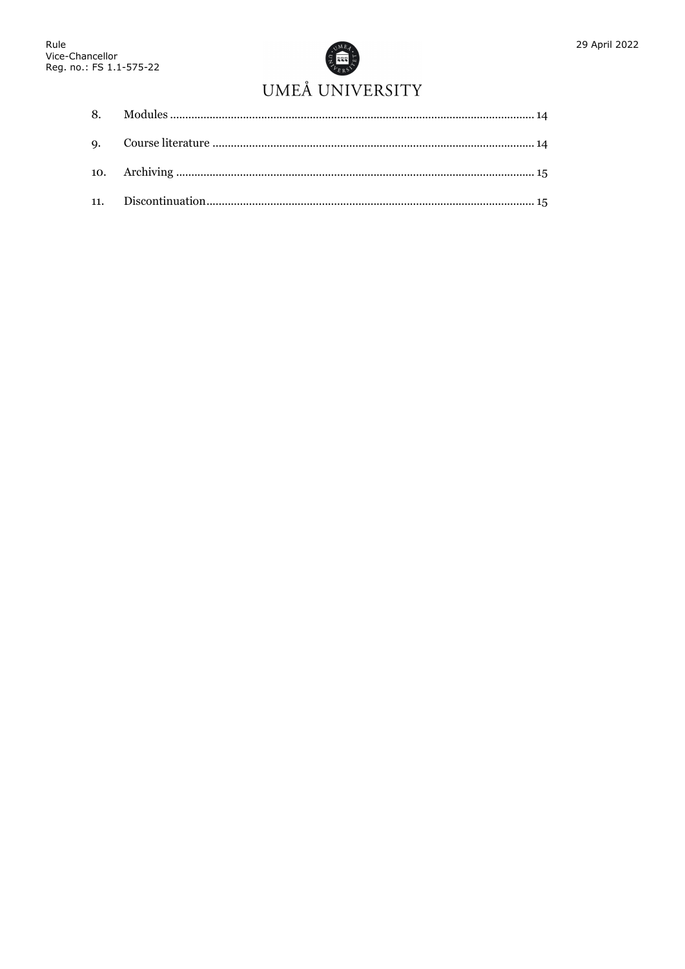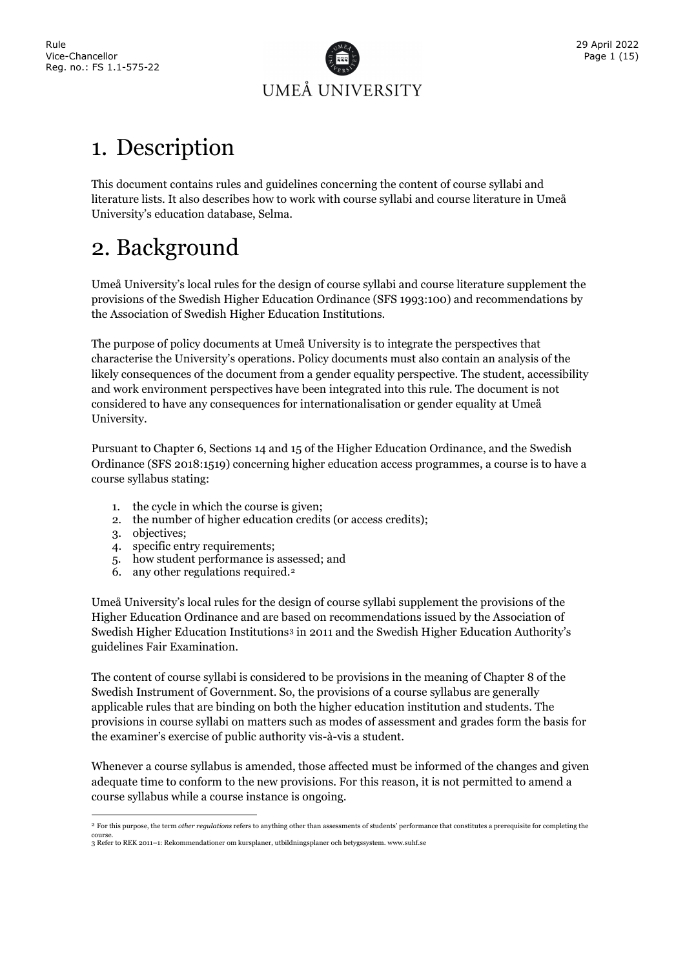

### <span id="page-3-0"></span>1. Description

This document contains rules and guidelines concerning the content of course syllabi and literature lists. It also describes how to work with course syllabi and course literature in Umeå University's education database, Selma.

### <span id="page-3-1"></span>2. Background

Umeå University's local rules for the design of course syllabi and course literature supplement the provisions of the Swedish Higher Education Ordinance (SFS 1993:100) and recommendations by the Association of Swedish Higher Education Institutions.

The purpose of policy documents at Umeå University is to integrate the perspectives that characterise the University's operations. Policy documents must also contain an analysis of the likely consequences of the document from a gender equality perspective. The student, accessibility and work environment perspectives have been integrated into this rule. The document is not considered to have any consequences for internationalisation or gender equality at Umeå University.

Pursuant to Chapter 6, Sections 14 and 15 of the Higher Education Ordinance, and the Swedish Ordinance (SFS 2018:1519) concerning higher education access programmes, a course is to have a course syllabus stating:

- 1. the cycle in which the course is given;
- 2. the number of higher education credits (or access credits);
- 3. objectives;
- 4. specific entry requirements;
- 5. how student performance is assessed; and
- 6. any other regulations required.[2](#page-3-2)

Umeå University's local rules for the design of course syllabi supplement the provisions of the Higher Education Ordinance and are based on recommendations issued by the Association of Swedish Higher Education Institutions<sup>[3](#page-3-3)</sup> in 2011 and the Swedish Higher Education Authority's guidelines Fair Examination.

The content of course syllabi is considered to be provisions in the meaning of Chapter 8 of the Swedish Instrument of Government. So, the provisions of a course syllabus are generally applicable rules that are binding on both the higher education institution and students. The provisions in course syllabi on matters such as modes of assessment and grades form the basis for the examiner's exercise of public authority vis-à-vis a student.

Whenever a course syllabus is amended, those affected must be informed of the changes and given adequate time to conform to the new provisions. For this reason, it is not permitted to amend a course syllabus while a course instance is ongoing.

<span id="page-3-2"></span><sup>2</sup> For this purpose, the term *other regulations* refers to anything other than assessments of students' performance that constitutes a prerequisite for completing the

<span id="page-3-3"></span>course. 3 Refer to REK 2011–1: Rekommendationer om kursplaner, utbildningsplaner och betygssystem. www.suhf.se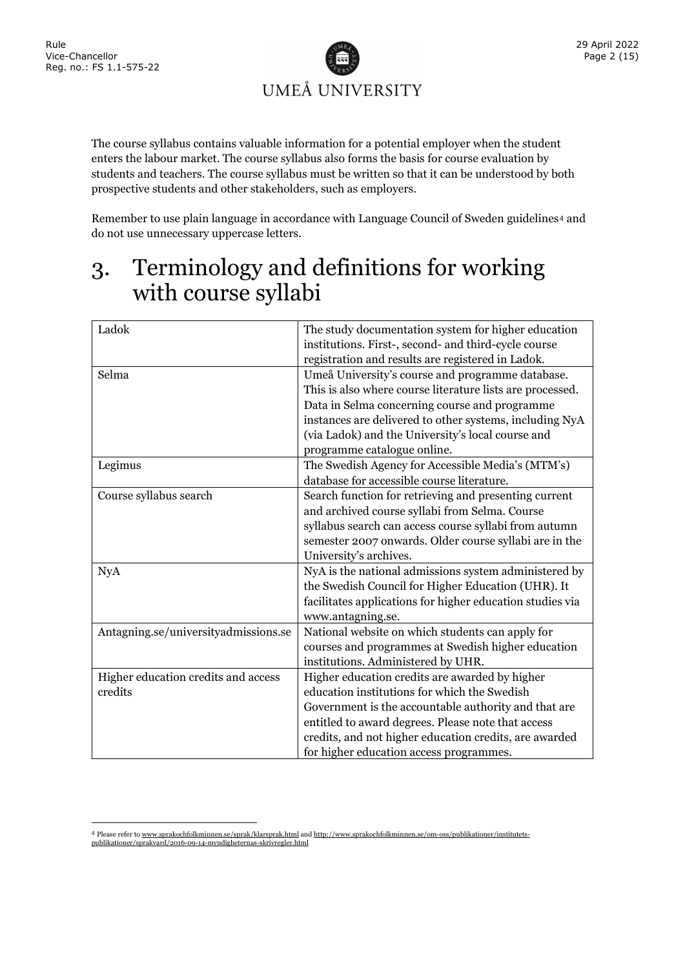

The course syllabus contains valuable information for a potential employer when the student enters the labour market. The course syllabus also forms the basis for course evaluation by students and teachers. The course syllabus must be written so that it can be understood by both prospective students and other stakeholders, such as employers.

Remember to use plain language in accordance with Language Council of Sweden guidelines<sup>[4](#page-4-1)</sup> and do not use unnecessary uppercase letters.

### <span id="page-4-0"></span>3. Terminology and definitions for working with course syllabi

| Ladok                                | The study documentation system for higher education<br>institutions. First-, second- and third-cycle course |
|--------------------------------------|-------------------------------------------------------------------------------------------------------------|
|                                      | registration and results are registered in Ladok.                                                           |
| Selma                                | Umeå University's course and programme database.                                                            |
|                                      | This is also where course literature lists are processed.                                                   |
|                                      | Data in Selma concerning course and programme                                                               |
|                                      | instances are delivered to other systems, including NyA                                                     |
|                                      | (via Ladok) and the University's local course and                                                           |
|                                      | programme catalogue online.                                                                                 |
| Legimus                              | The Swedish Agency for Accessible Media's (MTM's)                                                           |
|                                      | database for accessible course literature.                                                                  |
| Course syllabus search               | Search function for retrieving and presenting current                                                       |
|                                      | and archived course syllabi from Selma. Course                                                              |
|                                      | syllabus search can access course syllabi from autumn                                                       |
|                                      | semester 2007 onwards. Older course syllabi are in the                                                      |
|                                      | University's archives.                                                                                      |
| <b>NyA</b>                           | NyA is the national admissions system administered by                                                       |
|                                      | the Swedish Council for Higher Education (UHR). It                                                          |
|                                      | facilitates applications for higher education studies via                                                   |
|                                      | www.antagning.se.                                                                                           |
| Antagning.se/universityadmissions.se | National website on which students can apply for                                                            |
|                                      | courses and programmes at Swedish higher education                                                          |
|                                      | institutions. Administered by UHR.                                                                          |
| Higher education credits and access  | Higher education credits are awarded by higher                                                              |
| credits                              | education institutions for which the Swedish                                                                |
|                                      | Government is the accountable authority and that are                                                        |
|                                      | entitled to award degrees. Please note that access                                                          |
|                                      | credits, and not higher education credits, are awarded                                                      |
|                                      | for higher education access programmes.                                                                     |

<span id="page-4-1"></span><sup>4</sup> Please refer to [www.sprakochfolkminnen.se/sprak/klarsprak.html](http://www.sprakochfolkminnen.se/sprak/klarsprak.html) an[d http://www.sprakochfolkminnen.se/om-oss/publikationer/institutets](http://www.sprakochfolkminnen.se/om-oss/publikationer/institutets-publikationer/sprakvard/2016-09-14-myndigheternas-skrivregler.html)[publikationer/sprakvard/2016-09-14-myndigheternas-skrivregler.html](http://www.sprakochfolkminnen.se/om-oss/publikationer/institutets-publikationer/sprakvard/2016-09-14-myndigheternas-skrivregler.html)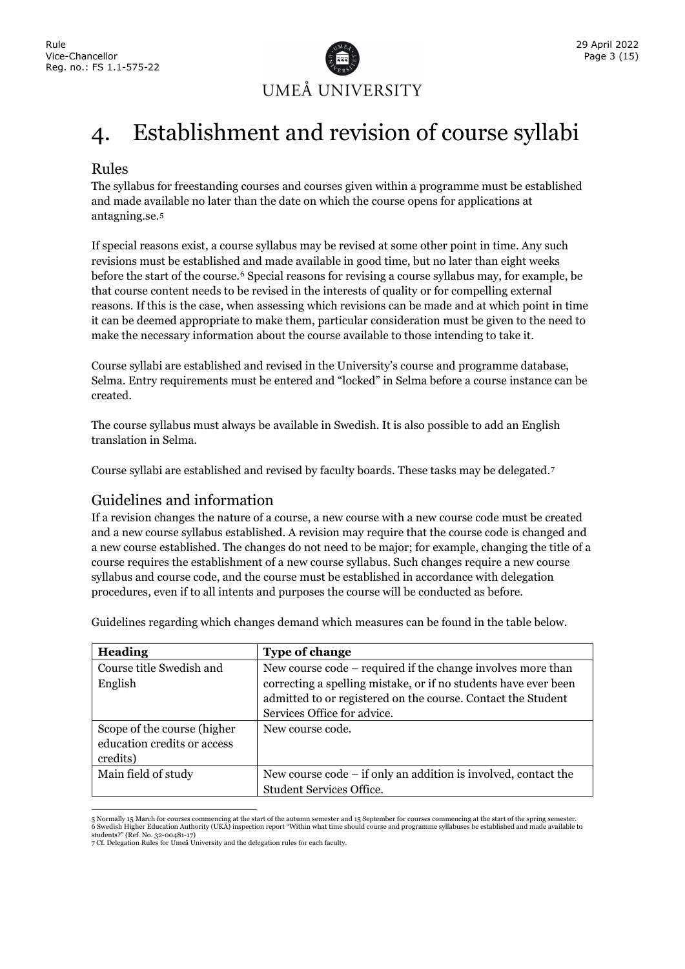

### <span id="page-5-0"></span>4. Establishment and revision of course syllabi

#### Rules

The syllabus for freestanding courses and courses given within a programme must be established and made available no later than the date on which the course opens for applications at antagning.se.[5](#page-5-1)

If special reasons exist, a course syllabus may be revised at some other point in time. Any such revisions must be established and made available in good time, but no later than eight weeks before the start of the course.[6](#page-5-2) Special reasons for revising a course syllabus may, for example, be that course content needs to be revised in the interests of quality or for compelling external reasons. If this is the case, when assessing which revisions can be made and at which point in time it can be deemed appropriate to make them, particular consideration must be given to the need to make the necessary information about the course available to those intending to take it.

Course syllabi are established and revised in the University's course and programme database, Selma. Entry requirements must be entered and "locked" in Selma before a course instance can be created.

The course syllabus must always be available in Swedish. It is also possible to add an English translation in Selma.

Course syllabi are established and revised by faculty boards. These tasks may be delegated.[7](#page-5-3)

#### Guidelines and information

If a revision changes the nature of a course, a new course with a new course code must be created and a new course syllabus established. A revision may require that the course code is changed and a new course established. The changes do not need to be major; for example, changing the title of a course requires the establishment of a new course syllabus. Such changes require a new course syllabus and course code, and the course must be established in accordance with delegation procedures, even if to all intents and purposes the course will be conducted as before.

| Heading                                                                | <b>Type of change</b>                                                                                                                                                                                                         |
|------------------------------------------------------------------------|-------------------------------------------------------------------------------------------------------------------------------------------------------------------------------------------------------------------------------|
| Course title Swedish and<br>English                                    | New course code – required if the change involves more than<br>correcting a spelling mistake, or if no students have ever been<br>admitted to or registered on the course. Contact the Student<br>Services Office for advice. |
| Scope of the course (higher<br>education credits or access<br>credits) | New course code.                                                                                                                                                                                                              |
| Main field of study                                                    | New course code – if only an addition is involved, contact the<br><b>Student Services Office.</b>                                                                                                                             |

Guidelines regarding which changes demand which measures can be found in the table below.

<span id="page-5-2"></span><span id="page-5-1"></span><sup>5</sup> Normally 15 March for courses commencing at the start of the autumn semester and 15 September for courses commencing at the start of the spring semester.<br>6 Swedish Higher Education Authority (UKÄ) inspection report "With students?" (Ref. No. 32-00481-17)

<span id="page-5-3"></span><sup>7</sup> Cf. Delegation Rules for Umeå University and the delegation rules for each faculty.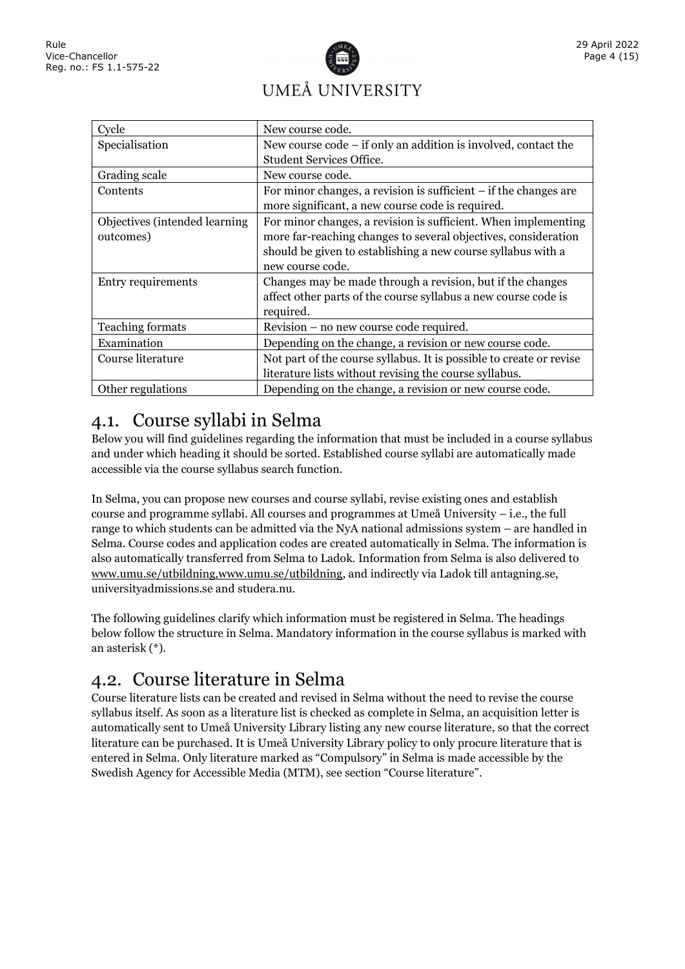# UMEÅ UNIVERSITY

| Cycle                          | New course code.                                                               |
|--------------------------------|--------------------------------------------------------------------------------|
| Specialisation                 | New course $\text{code} - \text{if}$ only an addition is involved, contact the |
|                                | <b>Student Services Office.</b>                                                |
| Grading scale                  | New course code.                                                               |
| Contents                       | For minor changes, a revision is sufficient $-$ if the changes are             |
|                                | more significant, a new course code is required.                               |
| Objectives (intended learning) | For minor changes, a revision is sufficient. When implementing                 |
| outcomes)                      | more far-reaching changes to several objectives, consideration                 |
|                                | should be given to establishing a new course syllabus with a                   |
|                                | new course code.                                                               |
| Entry requirements             | Changes may be made through a revision, but if the changes                     |
|                                | affect other parts of the course syllabus a new course code is                 |
|                                | required.                                                                      |
| Teaching formats               | Revision – no new course code required.                                        |
| Examination                    | Depending on the change, a revision or new course code.                        |
| Course literature              | Not part of the course syllabus. It is possible to create or revise            |
|                                | literature lists without revising the course syllabus.                         |
| Other regulations              | Depending on the change, a revision or new course code.                        |

### <span id="page-6-0"></span>4.1. Course syllabi in Selma

Below you will find guidelines regarding the information that must be included in a course syllabus and under which heading it should be sorted. Established course syllabi are automatically made accessible via the course syllabus search function.

In Selma, you can propose new courses and course syllabi, revise existing ones and establish course and programme syllabi. All courses and programmes at Umeå University – i.e., the full range to which students can be admitted via the NyA national admissions system – are handled in Selma. Course codes and application codes are created automatically in Selma. The information is also automatically transferred from Selma to Ladok. Information from Selma is also delivered to [www.umu.se/utbildning,www.umu.se/utbildning,](http://www.umu.se/utbildning) and indirectly via Ladok till antagning.se, universityadmissions.se and studera.nu.

The following guidelines clarify which information must be registered in Selma. The headings below follow the structure in Selma. Mandatory information in the course syllabus is marked with an asterisk (\*).

### <span id="page-6-1"></span>4.2. Course literature in Selma

Course literature lists can be created and revised in Selma without the need to revise the course syllabus itself. As soon as a literature list is checked as complete in Selma, an acquisition letter is automatically sent to Umeå University Library listing any new course literature, so that the correct literature can be purchased. It is Umeå University Library policy to only procure literature that is entered in Selma. Only literature marked as "Compulsory" in Selma is made accessible by the Swedish Agency for Accessible Media (MTM), see section "Course literature".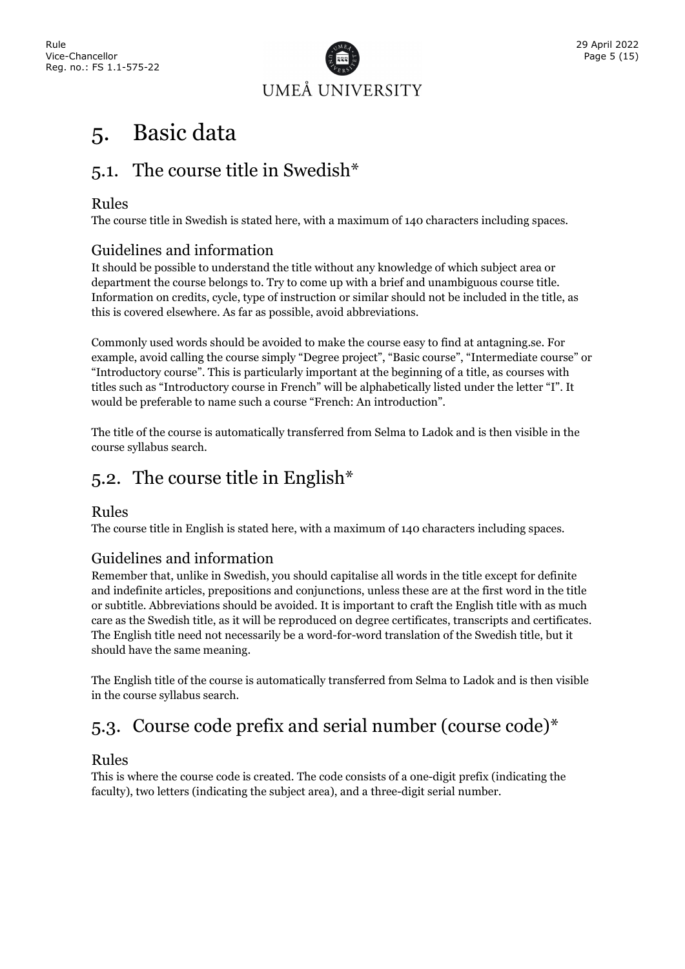

### <span id="page-7-0"></span>5. Basic data

### <span id="page-7-1"></span>5.1. The course title in Swedish\*

#### Rules

The course title in Swedish is stated here, with a maximum of 140 characters including spaces.

#### Guidelines and information

It should be possible to understand the title without any knowledge of which subject area or department the course belongs to. Try to come up with a brief and unambiguous course title. Information on credits, cycle, type of instruction or similar should not be included in the title, as this is covered elsewhere. As far as possible, avoid abbreviations.

Commonly used words should be avoided to make the course easy to find at antagning.se. For example, avoid calling the course simply "Degree project", "Basic course", "Intermediate course" or "Introductory course". This is particularly important at the beginning of a title, as courses with titles such as "Introductory course in French" will be alphabetically listed under the letter "I". It would be preferable to name such a course "French: An introduction".

The title of the course is automatically transferred from Selma to Ladok and is then visible in the course syllabus search.

### <span id="page-7-2"></span>5.2. The course title in English\*

#### Rules

The course title in English is stated here, with a maximum of 140 characters including spaces.

#### Guidelines and information

Remember that, unlike in Swedish, you should capitalise all words in the title except for definite and indefinite articles, prepositions and conjunctions, unless these are at the first word in the title or subtitle. Abbreviations should be avoided. It is important to craft the English title with as much care as the Swedish title, as it will be reproduced on degree certificates, transcripts and certificates. The English title need not necessarily be a word-for-word translation of the Swedish title, but it should have the same meaning.

The English title of the course is automatically transferred from Selma to Ladok and is then visible in the course syllabus search.

### <span id="page-7-3"></span>5.3. Course code prefix and serial number (course code)\*

#### Rules

This is where the course code is created. The code consists of a one-digit prefix (indicating the faculty), two letters (indicating the subject area), and a three-digit serial number.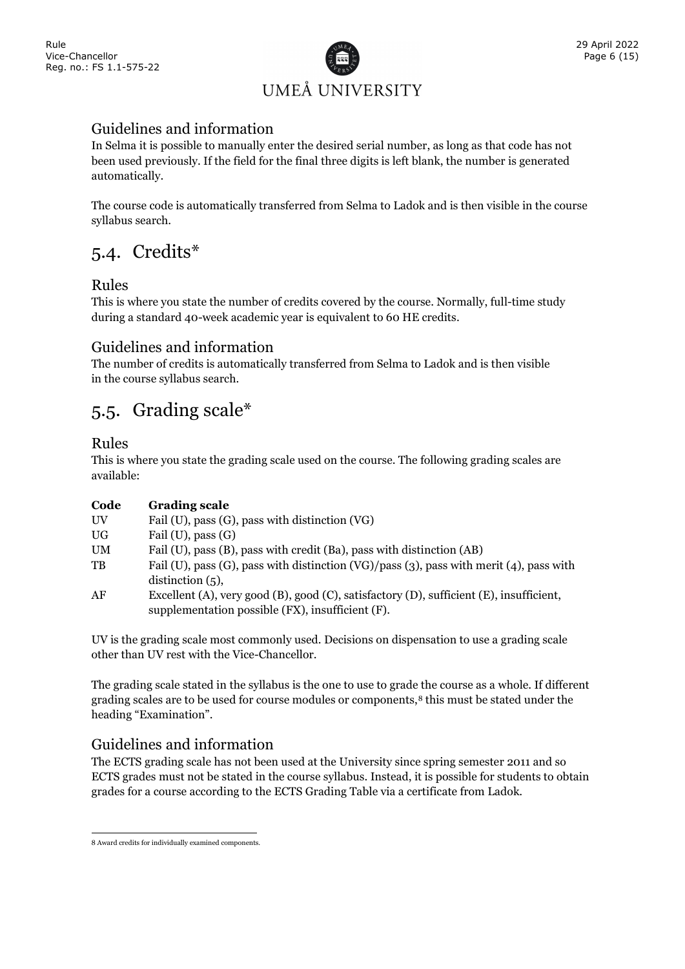

#### Guidelines and information

In Selma it is possible to manually enter the desired serial number, as long as that code has not been used previously. If the field for the final three digits is left blank, the number is generated automatically.

The course code is automatically transferred from Selma to Ladok and is then visible in the course syllabus search.

### <span id="page-8-0"></span>5.4. Credits\*

#### Rules

This is where you state the number of credits covered by the course. Normally, full-time study during a standard 40-week academic year is equivalent to 60 HE credits.

#### Guidelines and information

The number of credits is automatically transferred from Selma to Ladok and is then visible in the course syllabus search.

### <span id="page-8-1"></span>5.5. Grading scale\*

#### Rules

This is where you state the grading scale used on the course. The following grading scales are available:

| Code      | <b>Grading scale</b>                                                                                                                        |
|-----------|---------------------------------------------------------------------------------------------------------------------------------------------|
| UV        | Fail (U), pass (G), pass with distinction (VG)                                                                                              |
| UG.       | Fail $(U)$ , pass $(G)$                                                                                                                     |
| <b>UM</b> | Fail (U), pass (B), pass with credit (Ba), pass with distinction (AB)                                                                       |
| TB        | Fail (U), pass (G), pass with distinction (VG)/pass (3), pass with merit (4), pass with<br>distinction $(5)$ ,                              |
| AF        | Excellent (A), very good (B), good (C), satisfactory (D), sufficient (E), insufficient,<br>supplementation possible (FX), insufficient (F). |

UV is the grading scale most commonly used. Decisions on dispensation to use a grading scale other than UV rest with the Vice-Chancellor.

The grading scale stated in the syllabus is the one to use to grade the course as a whole. If different grading scales are to be used for course modules or components,[8](#page-8-2) this must be stated under the heading "Examination".

#### Guidelines and information

The ECTS grading scale has not been used at the University since spring semester 2011 and so ECTS grades must not be stated in the course syllabus. Instead, it is possible for students to obtain grades for a course according to the ECTS Grading Table via a certificate from Ladok.

<span id="page-8-2"></span><sup>8</sup> Award credits for individually examined components.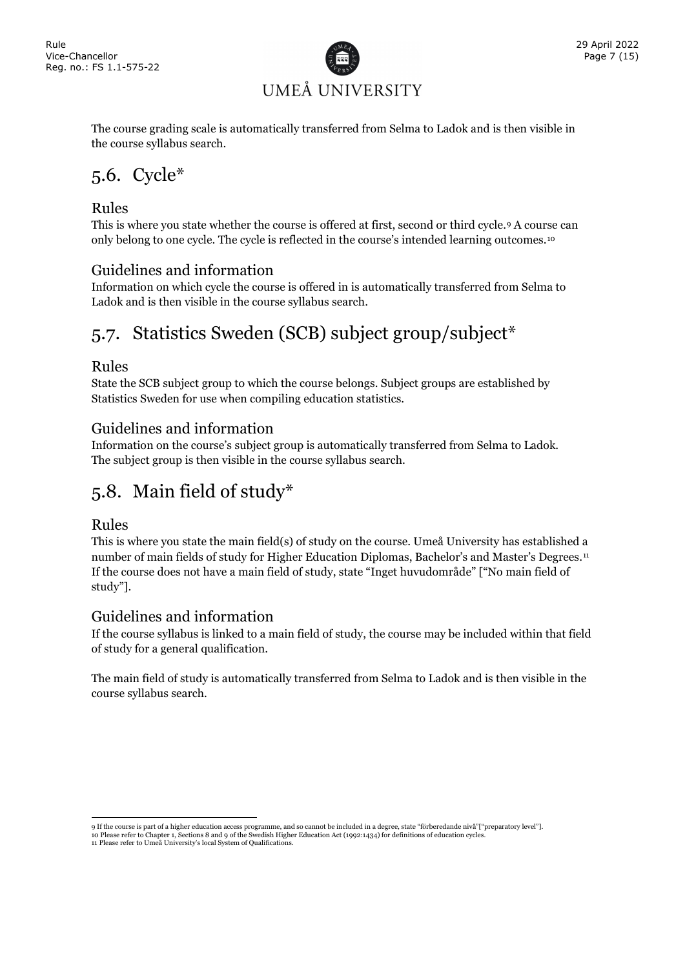

The course grading scale is automatically transferred from Selma to Ladok and is then visible in the course syllabus search.

### <span id="page-9-0"></span>5.6. Cycle\*

#### Rules

This is where you state whether the course is offered at first, second or third cycle.[9](#page-9-3) A course can only belong to one cycle. The cycle is reflected in the course's intended learning outcomes.[10](#page-9-4)

#### Guidelines and information

Information on which cycle the course is offered in is automatically transferred from Selma to Ladok and is then visible in the course syllabus search.

### <span id="page-9-1"></span>5.7. Statistics Sweden (SCB) subject group/subject\*

#### Rules

State the SCB subject group to which the course belongs. Subject groups are established by Statistics Sweden for use when compiling education statistics.

#### Guidelines and information

Information on the course's subject group is automatically transferred from Selma to Ladok. The subject group is then visible in the course syllabus search.

### <span id="page-9-2"></span>5.8. Main field of study\*

#### Rules

This is where you state the main field(s) of study on the course. Umeå University has established a number of main fields of study for Higher Education Diplomas, Bachelor's and Master's Degrees.<sup>[11](#page-9-5)</sup> If the course does not have a main field of study, state "Inget huvudområde" ["No main field of study"].

#### Guidelines and information

If the course syllabus is linked to a main field of study, the course may be included within that field of study for a general qualification.

The main field of study is automatically transferred from Selma to Ladok and is then visible in the course syllabus search.

<sup>9</sup> If the course is part of a higher education access programme, and so cannot be included in a degree, state "förberedande nivå"["preparatory level"].

<span id="page-9-5"></span><span id="page-9-4"></span><span id="page-9-3"></span><sup>10</sup> Please refer to Chapter 1, Sections 8 and 9 of the Swedish Higher Education Act (1992:1434) for definitions of education cycles.

<sup>11</sup> Please refer to Umeå University's local System of Qualifications.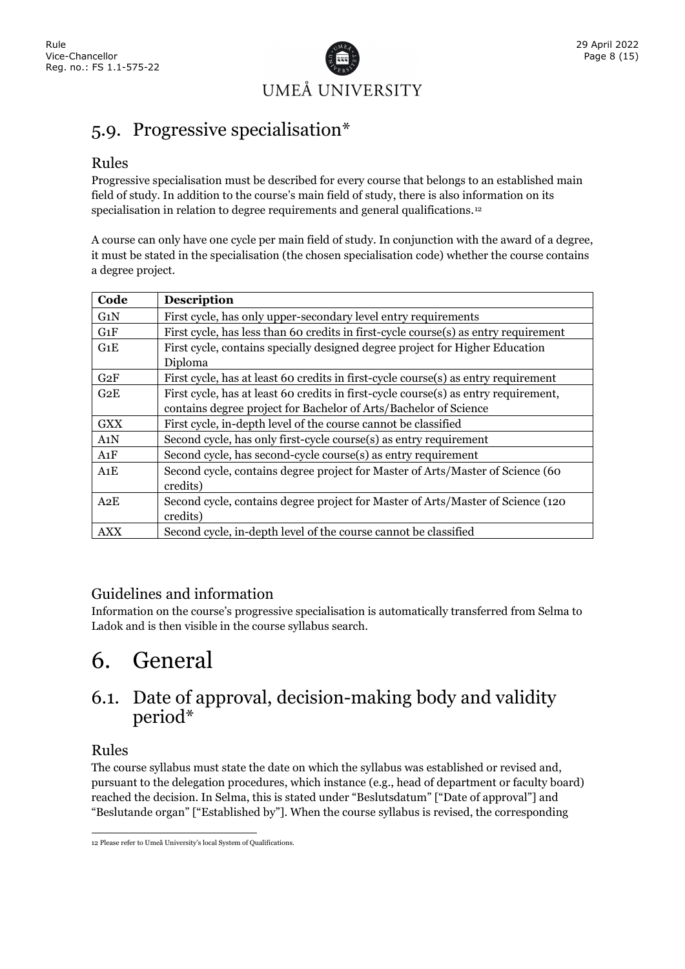

### <span id="page-10-0"></span>5.9. Progressive specialisation\*

#### Rules

Progressive specialisation must be described for every course that belongs to an established main field of study. In addition to the course's main field of study, there is also information on its specialisation in relation to degree requirements and general qualifications.<sup>12</sup>

A course can only have one cycle per main field of study. In conjunction with the award of a degree, it must be stated in the specialisation (the chosen specialisation code) whether the course contains a degree project.

| Code       | <b>Description</b>                                                                  |
|------------|-------------------------------------------------------------------------------------|
| G1N        | First cycle, has only upper-secondary level entry requirements                      |
| G1F        | First cycle, has less than 60 credits in first-cycle course(s) as entry requirement |
| G1E        | First cycle, contains specially designed degree project for Higher Education        |
|            | Diploma                                                                             |
| G2F        | First cycle, has at least 60 credits in first-cycle course(s) as entry requirement  |
| G2E        | First cycle, has at least 60 credits in first-cycle course(s) as entry requirement, |
|            | contains degree project for Bachelor of Arts/Bachelor of Science                    |
| <b>GXX</b> | First cycle, in-depth level of the course cannot be classified                      |
| A1N        | Second cycle, has only first-cycle course(s) as entry requirement                   |
| A1F        | Second cycle, has second-cycle course(s) as entry requirement                       |
| A1E        | Second cycle, contains degree project for Master of Arts/Master of Science (60      |
|            | credits)                                                                            |
| A2E        | Second cycle, contains degree project for Master of Arts/Master of Science (120)    |
|            | credits)                                                                            |
| <b>AXX</b> | Second cycle, in-depth level of the course cannot be classified                     |

#### Guidelines and information

Information on the course's progressive specialisation is automatically transferred from Selma to Ladok and is then visible in the course syllabus search.

### <span id="page-10-1"></span>6. General

#### <span id="page-10-2"></span>6.1. Date of approval, decision-making body and validity period\*

#### Rules

The course syllabus must state the date on which the syllabus was established or revised and, pursuant to the delegation procedures, which instance (e.g., head of department or faculty board) reached the decision. In Selma, this is stated under "Beslutsdatum" ["Date of approval"] and "Beslutande organ" ["Established by"]. When the course syllabus is revised, the corresponding

<span id="page-10-3"></span><sup>12</sup> Please refer to Umeå University's local System of Qualifications.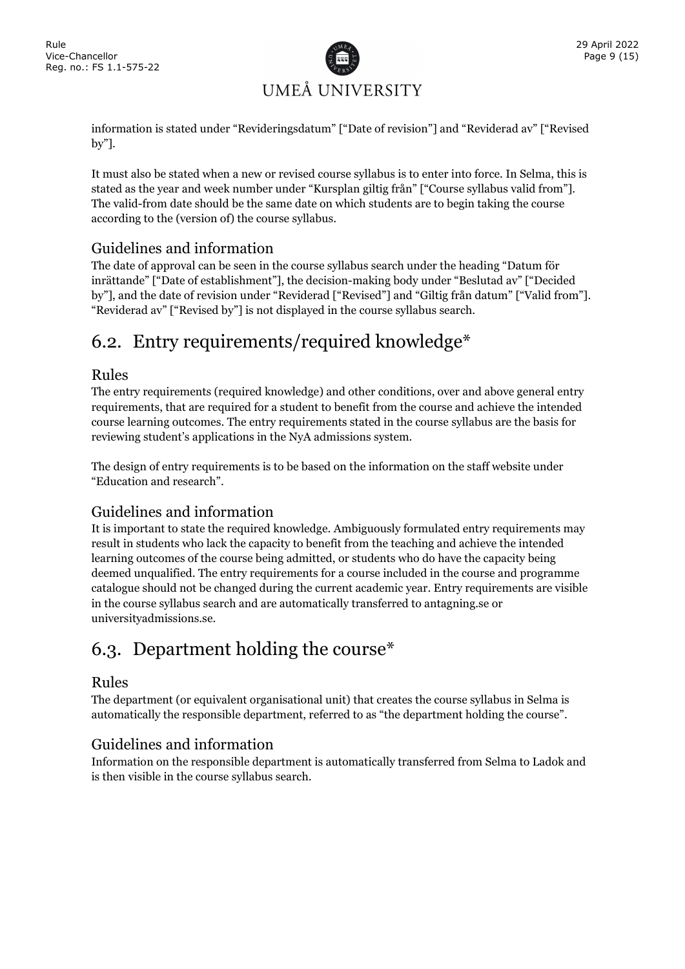

information is stated under "Revideringsdatum" ["Date of revision"] and "Reviderad av" ["Revised by"].

It must also be stated when a new or revised course syllabus is to enter into force. In Selma, this is stated as the year and week number under "Kursplan giltig från" ["Course syllabus valid from"]. The valid-from date should be the same date on which students are to begin taking the course according to the (version of) the course syllabus.

#### Guidelines and information

The date of approval can be seen in the course syllabus search under the heading "Datum för inrättande" ["Date of establishment"], the decision-making body under "Beslutad av" ["Decided by"], and the date of revision under "Reviderad ["Revised"] and "Giltig från datum" ["Valid from"]. "Reviderad av" ["Revised by"] is not displayed in the course syllabus search.

### <span id="page-11-0"></span>6.2. Entry requirements/required knowledge\*

#### Rules

The entry requirements (required knowledge) and other conditions, over and above general entry requirements, that are required for a student to benefit from the course and achieve the intended course learning outcomes. The entry requirements stated in the course syllabus are the basis for reviewing student's applications in the NyA admissions system.

The design of entry requirements is to be based on the information on the staff website under "Education and research".

#### Guidelines and information

It is important to state the required knowledge. Ambiguously formulated entry requirements may result in students who lack the capacity to benefit from the teaching and achieve the intended learning outcomes of the course being admitted, or students who do have the capacity being deemed unqualified. The entry requirements for a course included in the course and programme catalogue should not be changed during the current academic year. Entry requirements are visible in the course syllabus search and are automatically transferred to antagning.se or universityadmissions.se.

### <span id="page-11-1"></span>6.3. Department holding the course\*

#### Rules

The department (or equivalent organisational unit) that creates the course syllabus in Selma is automatically the responsible department, referred to as "the department holding the course".

#### Guidelines and information

Information on the responsible department is automatically transferred from Selma to Ladok and is then visible in the course syllabus search.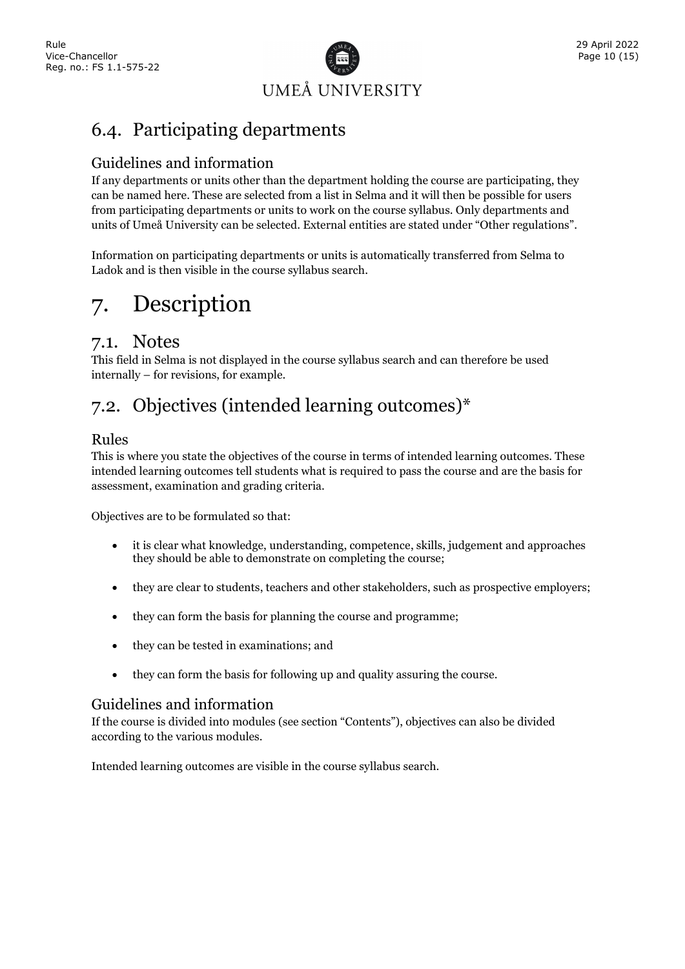

### <span id="page-12-0"></span>6.4. Participating departments

#### Guidelines and information

If any departments or units other than the department holding the course are participating, they can be named here. These are selected from a list in Selma and it will then be possible for users from participating departments or units to work on the course syllabus. Only departments and units of Umeå University can be selected. External entities are stated under "Other regulations".

Information on participating departments or units is automatically transferred from Selma to Ladok and is then visible in the course syllabus search.

### <span id="page-12-1"></span>7. Description

#### <span id="page-12-2"></span>7.1. Notes

This field in Selma is not displayed in the course syllabus search and can therefore be used internally – for revisions, for example.

### <span id="page-12-3"></span>7.2. Objectives (intended learning outcomes)\*

#### Rules

This is where you state the objectives of the course in terms of intended learning outcomes. These intended learning outcomes tell students what is required to pass the course and are the basis for assessment, examination and grading criteria.

Objectives are to be formulated so that:

- it is clear what knowledge, understanding, competence, skills, judgement and approaches they should be able to demonstrate on completing the course;
- they are clear to students, teachers and other stakeholders, such as prospective employers;
- they can form the basis for planning the course and programme;
- they can be tested in examinations; and
- they can form the basis for following up and quality assuring the course.

#### Guidelines and information

If the course is divided into modules (see section "Contents"), objectives can also be divided according to the various modules.

Intended learning outcomes are visible in the course syllabus search.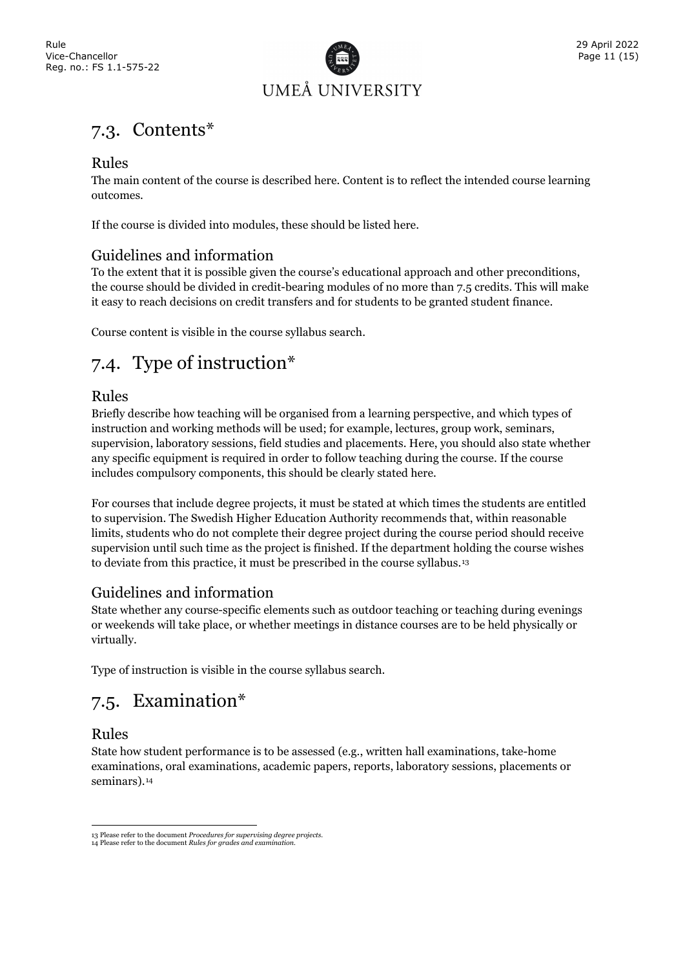

### <span id="page-13-0"></span>7.3. Contents\*

#### Rules

The main content of the course is described here. Content is to reflect the intended course learning outcomes.

If the course is divided into modules, these should be listed here.

#### Guidelines and information

To the extent that it is possible given the course's educational approach and other preconditions, the course should be divided in credit-bearing modules of no more than 7.5 credits. This will make it easy to reach decisions on credit transfers and for students to be granted student finance.

<span id="page-13-1"></span>Course content is visible in the course syllabus search.

### 7.4. Type of instruction\*

#### Rules

Briefly describe how teaching will be organised from a learning perspective, and which types of instruction and working methods will be used; for example, lectures, group work, seminars, supervision, laboratory sessions, field studies and placements. Here, you should also state whether any specific equipment is required in order to follow teaching during the course. If the course includes compulsory components, this should be clearly stated here.

For courses that include degree projects, it must be stated at which times the students are entitled to supervision. The Swedish Higher Education Authority recommends that, within reasonable limits, students who do not complete their degree project during the course period should receive supervision until such time as the project is finished. If the department holding the course wishes to deviate from this practice, it must be prescribed in the course syllabus.[13](#page-13-3)

#### Guidelines and information

State whether any course-specific elements such as outdoor teaching or teaching during evenings or weekends will take place, or whether meetings in distance courses are to be held physically or virtually.

<span id="page-13-2"></span>Type of instruction is visible in the course syllabus search.

### 7.5. Examination\*

#### Rules

State how student performance is to be assessed (e.g., written hall examinations, take-home examinations, oral examinations, academic papers, reports, laboratory sessions, placements or seminars).<sup>[14](#page-13-4)</sup>

<sup>13</sup> Please refer to the document *Procedures for supervising degree projects*.

<span id="page-13-4"></span><span id="page-13-3"></span><sup>14</sup> Please refer to the document *Rules for grades and examination*.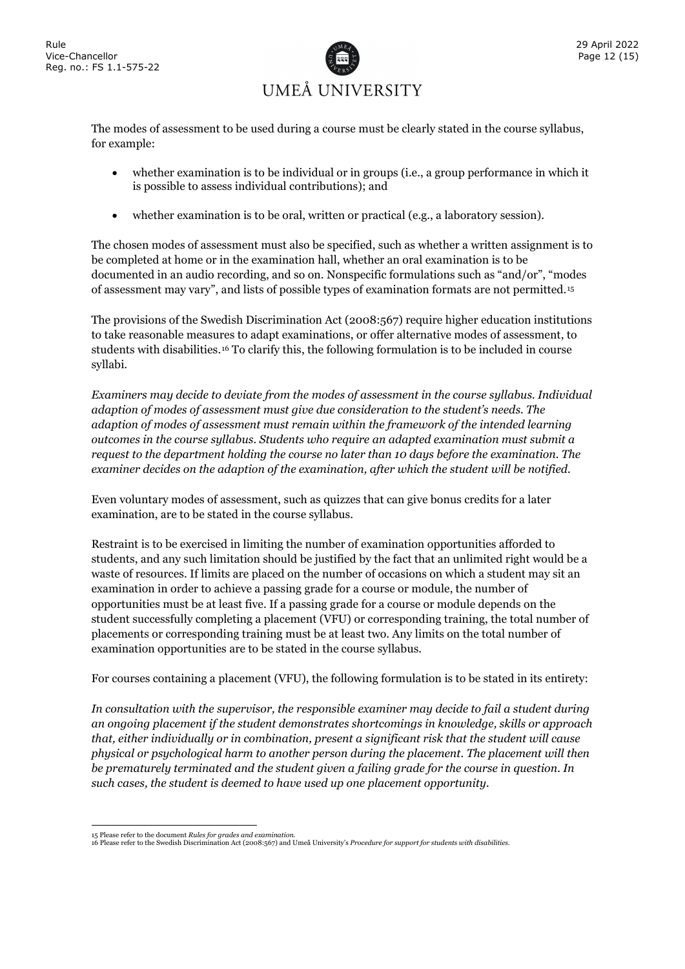

The modes of assessment to be used during a course must be clearly stated in the course syllabus, for example:

- whether examination is to be individual or in groups (i.e., a group performance in which it is possible to assess individual contributions); and
- whether examination is to be oral, written or practical (e.g., a laboratory session).

The chosen modes of assessment must also be specified, such as whether a written assignment is to be completed at home or in the examination hall, whether an oral examination is to be documented in an audio recording, and so on. Nonspecific formulations such as "and/or", "modes of assessment may vary", and lists of possible types of examination formats are not permitted.[15](#page-14-0)

The provisions of the Swedish Discrimination Act (2008:567) require higher education institutions to take reasonable measures to adapt examinations, or offer alternative modes of assessment, to students with disabilities.[16](#page-14-1) To clarify this, the following formulation is to be included in course syllabi.

*Examiners may decide to deviate from the modes of assessment in the course syllabus. Individual adaption of modes of assessment must give due consideration to the student's needs. The adaption of modes of assessment must remain within the framework of the intended learning outcomes in the course syllabus. Students who require an adapted examination must submit a request to the department holding the course no later than 10 days before the examination. The examiner decides on the adaption of the examination, after which the student will be notified.* 

Even voluntary modes of assessment, such as quizzes that can give bonus credits for a later examination, are to be stated in the course syllabus.

Restraint is to be exercised in limiting the number of examination opportunities afforded to students, and any such limitation should be justified by the fact that an unlimited right would be a waste of resources. If limits are placed on the number of occasions on which a student may sit an examination in order to achieve a passing grade for a course or module, the number of opportunities must be at least five. If a passing grade for a course or module depends on the student successfully completing a placement (VFU) or corresponding training, the total number of placements or corresponding training must be at least two. Any limits on the total number of examination opportunities are to be stated in the course syllabus.

For courses containing a placement (VFU), the following formulation is to be stated in its entirety:

*In consultation with the supervisor, the responsible examiner may decide to fail a student during an ongoing placement if the student demonstrates shortcomings in knowledge, skills or approach that, either individually or in combination, present a significant risk that the student will cause physical or psychological harm to another person during the placement. The placement will then be prematurely terminated and the student given a failing grade for the course in question. In such cases, the student is deemed to have used up one placement opportunity.* 

<span id="page-14-1"></span><span id="page-14-0"></span><sup>15</sup> Please refer to the document *Rules for grades and examination*. 16 Please refer to the Swedish Discrimination Act (2008:567) and Umeå University's *Procedure for support for students with disabilities*.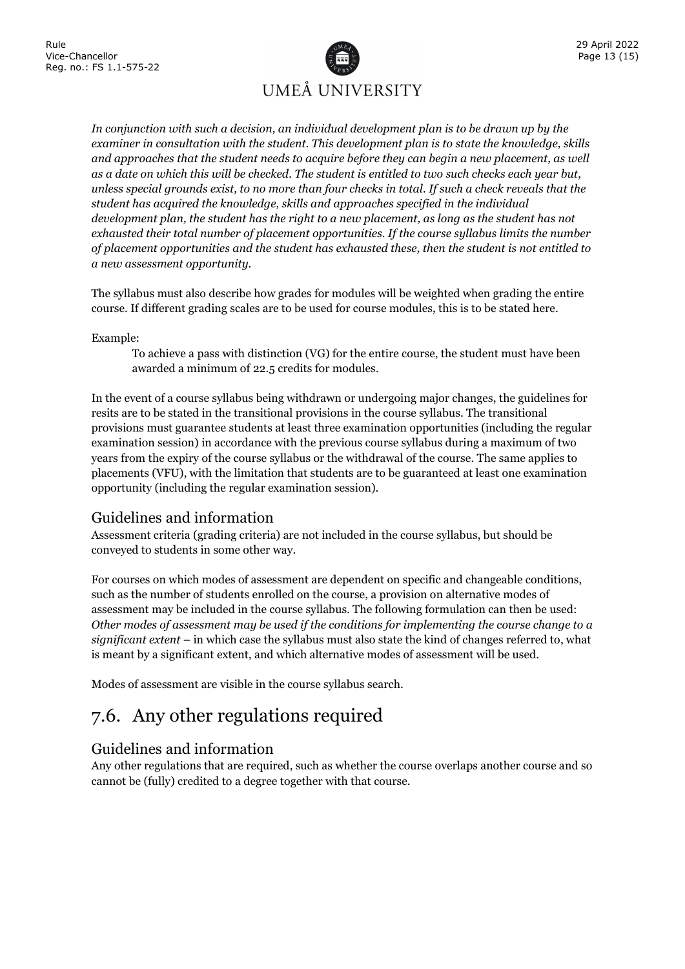

*In conjunction with such a decision, an individual development plan is to be drawn up by the examiner in consultation with the student. This development plan is to state the knowledge, skills and approaches that the student needs to acquire before they can begin a new placement, as well as a date on which this will be checked. The student is entitled to two such checks each year but, unless special grounds exist, to no more than four checks in total. If such a check reveals that the student has acquired the knowledge, skills and approaches specified in the individual development plan, the student has the right to a new placement, as long as the student has not exhausted their total number of placement opportunities. If the course syllabus limits the number of placement opportunities and the student has exhausted these, then the student is not entitled to a new assessment opportunity.*

The syllabus must also describe how grades for modules will be weighted when grading the entire course. If different grading scales are to be used for course modules, this is to be stated here.

#### Example:

To achieve a pass with distinction (VG) for the entire course, the student must have been awarded a minimum of 22.5 credits for modules.

In the event of a course syllabus being withdrawn or undergoing major changes, the guidelines for resits are to be stated in the transitional provisions in the course syllabus. The transitional provisions must guarantee students at least three examination opportunities (including the regular examination session) in accordance with the previous course syllabus during a maximum of two years from the expiry of the course syllabus or the withdrawal of the course. The same applies to placements (VFU), with the limitation that students are to be guaranteed at least one examination opportunity (including the regular examination session).

#### Guidelines and information

Assessment criteria (grading criteria) are not included in the course syllabus, but should be conveyed to students in some other way.

For courses on which modes of assessment are dependent on specific and changeable conditions, such as the number of students enrolled on the course, a provision on alternative modes of assessment may be included in the course syllabus. The following formulation can then be used: *Other modes of assessment may be used if the conditions for implementing the course change to a significant extent* – in which case the syllabus must also state the kind of changes referred to, what is meant by a significant extent, and which alternative modes of assessment will be used.

<span id="page-15-0"></span>Modes of assessment are visible in the course syllabus search.

### 7.6. Any other regulations required

#### Guidelines and information

Any other regulations that are required, such as whether the course overlaps another course and so cannot be (fully) credited to a degree together with that course.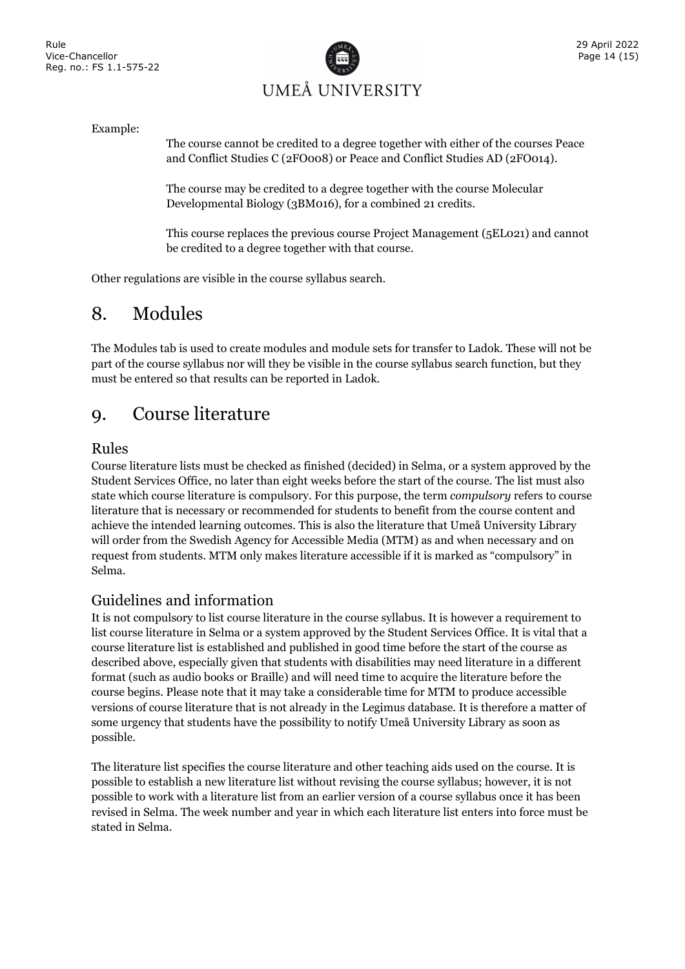

#### Example:

The course cannot be credited to a degree together with either of the courses Peace and Conflict Studies C (2FO008) or Peace and Conflict Studies AD (2FO014).

The course may be credited to a degree together with the course Molecular Developmental Biology (3BM016), for a combined 21 credits.

This course replaces the previous course Project Management (5EL021) and cannot be credited to a degree together with that course.

<span id="page-16-0"></span>Other regulations are visible in the course syllabus search.

### 8. Modules

The Modules tab is used to create modules and module sets for transfer to Ladok. These will not be part of the course syllabus nor will they be visible in the course syllabus search function, but they must be entered so that results can be reported in Ladok.

#### <span id="page-16-1"></span>9. Course literature

#### Rules

Course literature lists must be checked as finished (decided) in Selma, or a system approved by the Student Services Office, no later than eight weeks before the start of the course. The list must also state which course literature is compulsory. For this purpose, the term *compulsory* refers to course literature that is necessary or recommended for students to benefit from the course content and achieve the intended learning outcomes. This is also the literature that Umeå University Library will order from the Swedish Agency for Accessible Media (MTM) as and when necessary and on request from students. MTM only makes literature accessible if it is marked as "compulsory" in Selma.

#### Guidelines and information

It is not compulsory to list course literature in the course syllabus. It is however a requirement to list course literature in Selma or a system approved by the Student Services Office. It is vital that a course literature list is established and published in good time before the start of the course as described above, especially given that students with disabilities may need literature in a different format (such as audio books or Braille) and will need time to acquire the literature before the course begins. Please note that it may take a considerable time for MTM to produce accessible versions of course literature that is not already in the Legimus database. It is therefore a matter of some urgency that students have the possibility to notify Umeå University Library as soon as possible.

The literature list specifies the course literature and other teaching aids used on the course. It is possible to establish a new literature list without revising the course syllabus; however, it is not possible to work with a literature list from an earlier version of a course syllabus once it has been revised in Selma. The week number and year in which each literature list enters into force must be stated in Selma.